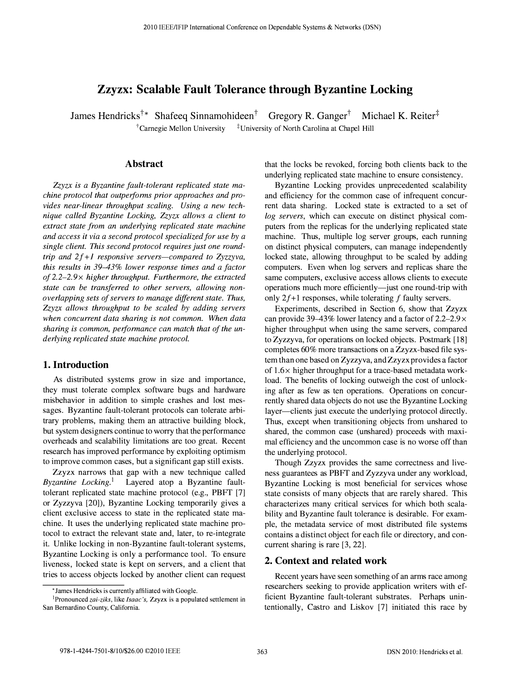# Zzyzx: Scalable Fault Tolerance through Byzantine Locking

James Hendricks<sup>†\*</sup> Shafeeq Sinnamohideen<sup>†</sup> Gregory R. Ganger<sup>†</sup> Michael K. Reiter<sup>‡</sup> <sup> $\dagger$ </sup>Carnegie Mellon University  $\dagger$ <sup>†</sup>University of North Carolina at Chapel Hill

## Abstract

Zzyzx is a Byzantine fault-tolerant replicated state machine protocol that outperforms prior approaches and provides near-linear throughput scaling. Using a new technique called Byzantine Locking, Zzyzx allows a client to extract state from an underlying replicated state machine and access it via a second protocol specialized for use by a single client. This second protocol requires just one roundtrip and  $2f+1$  responsive servers—compared to Zyzzyva, this results in 39-43% lower response times and a factor of 2.2-2.9 $\times$  higher throughput. Furthermore, the extracted state can be transferred to other servers, allowing nonoverlapping sets of servers to manage different state. Thus, Zzyzx allows throughput to be scaled by adding servers when concurrent data sharing is not common. When data sharing is common, performance can match that of the underlying replicated state machine protocol.

#### 1. Introduction

As distributed systems grow in size and importance, they must tolerate complex software bugs and hardware misbehavior in addition to simple crashes and lost messages. Byzantine fault-tolerant protocols can tolerate arbitrary problems, making them an attractive building block, but system designers continue to worry that the performance overheads and scalability limitations are too great. Recent research has improved performance by exploiting optimism to improve common cases, but a significant gap still exists.

Zzyzx narrows that gap with a new technique called Byzantine Locking.<sup>1</sup> Layered atop a Byzantine faulttolerant replicated state machine protocol (e.g., PBFT [7] or Zyzzyva [20]), Byzantine Locking temporarily gives a client exclusive access to state in the replicated state machine. It uses the underlying replicated state machine protocol to extract the relevant state and, later, to re-integrate it. Unlike locking in non-Byzantine fault-tolerant systems, Byzantine Locking is only a performance tool. To ensure liveness, locked state is kept on servers, and a client that tries to access objects locked by another client can request

that the locks be revoked, forcing both clients back to the underlying replicated state machine to ensure consistency.

Byzantine Locking provides unprecedented scalability and efficiency for the common case of infrequent concurrent data sharing. Locked state is extracted to a set of log servers, which can execute on distinct physical computers from the replicas for the underlying replicated state machine. Thus, multiple log server groups, each running on distinct physical computers, can manage independently locked state, allowing throughput to be scaled by adding computers. Even when log servers and replicas share the same computers, exclusive access allows clients to execute operations much more efficiently-just one round-trip with only  $2f+1$  responses, while tolerating f faulty servers.

Experiments, described in Section 6, show that Zzyzx can provide 39–43% lower latency and a factor of  $2.2-2.9 \times$ higher throughput when using the same servers, compared to Zyzzyva, for operations on locked objects. Postmark [18] completes 60% more transactions on a Zzyzx-based file system than one based on Zyzzyva, and Zzyzx provides a factor of  $1.6\times$  higher throughput for a trace-based metadata workload. The benefits of locking outweigh the cost of unlocking after as few as ten operations. Operations on concurrently shared data objects do not use the Byzantine Locking layer—clients just execute the underlying protocol directly. Thus, except when transitioning objects from unshared to shared, the common case (unshared) proceeds with maximal efficiency and the uncommon case is no worse off than the underlying protocol.

Though Zzyzx provides the same correctness and liveness guarantees as PBFT and Zyzzyva under any workload, Byzantine Locking is most beneficial for services whose state consists of many objects that are rarely shared. This characterizes many critical services for which both scalability and Byzantine fault tolerance is desirable. For example, the metadata service of most distributed file systems contains a distinct object for each file or directory, and concurrent sharing is rare [3, 22].

### 2. Context and related work

Recent years have seen something of an arms race among researchers seeking to provide application writers with efficient Byzantine fault-tolerant substrates. Perhaps unintentionally, Castro and Liskov [7] initiated this race by

<sup>\*</sup> James Hendricks is currently affiliated with Google.

<sup>&</sup>lt;sup>1</sup>Pronounced *zai-ziks*, like *Isaac's*, Zzyzx is a populated settlement in San Bernardino County, California.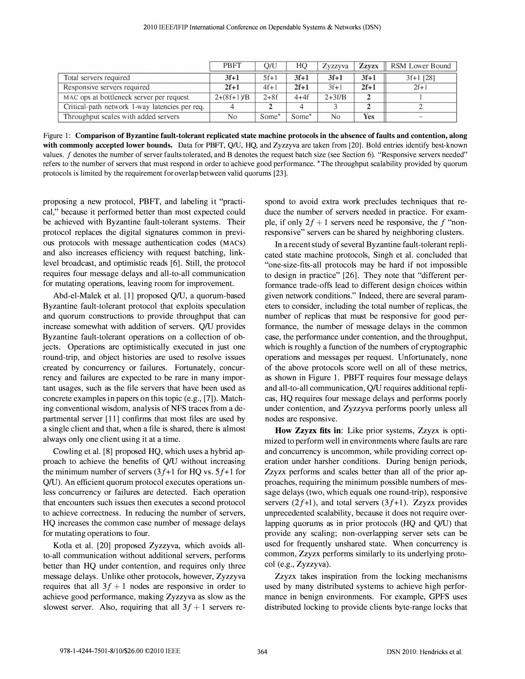|                                                | <b>PBFT</b>    | O/U               | HO                | Zyzzyva  | <b>Zzvzx</b> | RSM Lower Bound |
|------------------------------------------------|----------------|-------------------|-------------------|----------|--------------|-----------------|
| Total servers required                         | $3f+1$         | $5f+1$            | $3f+1$            | $3f+1$   | $3f+1$       | $3f+1$ [28]     |
| Responsive servers required                    | $2f+1$         | $4f+1$            | $2f+1$            | $3f+1$   | $2f+1$       | $2f+1$          |
| MAC ops at bottleneck server per request       | $2+(8f+1)/B$   | $2 + 8f$          | $4+4f$            | $2+3f/B$ | $\mathbf{2}$ |                 |
| Critical-path network 1-way latencies per req. | $\overline{4}$ |                   | $\overline{4}$    |          |              |                 |
| Throughput scales with added servers           | N <sub>0</sub> | Some <sup>*</sup> | Some <sup>*</sup> | No       | <b>Yes</b>   | $\sim$          |

Figure I: Comparison of Byzantine fault-tolerant replicated state machine protocols in the absence of faults and contention, along with commonly accepted lower bounds. Data for PBFT, Q/U, HQ, and Zyzzyva are taken from [20]. Bold entries identify best-known values. f denotes the number of server faults tolerated, and B denotes the request batch size (see Section 6). "Responsive servers needed" refers to the number of servers that must respond in order to achieve good performance. 'The throughput scalability provided by quorum protocols is limited by the requirement for overlap between valid quorums [23].

proposing a new protocol, PBFT, and labeling it "practical," because it performed better than most expected could be achieved with Byzantine fault-tolerant systems. Their protocol replaces the digital signatures common in previous protocols with message authentication codes (MACS) and also increases efficiency with request batching, linklevel broadcast, and optimistic reads [6]. Still, the protocol requires four message delays and all-to-all communication for mutating operations, leaving room for improvement.

Abd-el-Malek et al. [1] proposed Q/U, a quorum-based Byzantine fault-tolerant protocol that exploits speculation and quorum constructions to provide throughput that can increase somewhat with addition of servers. Q/U provides Byzantine fault-tolerant operations on a collection of objects. Operations are optimistically executed in just one round-trip, and object histories are used to resolve issues created by concurrency or failures. Fortunately, concurrency and failures are expected to be rare in many important usages, such as the file servers that have been used as concrete examples in papers on this topic (e.g., [7]). Matching conventional wisdom, analysis of NFS traces from a departmental server [11] confirms that most files are used by a single client and that, when a file is shared, there is almost always only one client using it at a time.

Cowling et al. [8] proposed HQ, which uses a hybrid approach to achieve the benefits of QIU without increasing the minimum number of servers  $(3f+1)$  for HQ vs.  $5f+1$  for QIU). An efficient quorum protocol executes operations unless concurrency or failures are detected. Each operation that encounters such issues then executes a second protocol to achieve correctness. In reducing the number of servers, HQ increases the common case number of message delays for mutating operations to four.

Kotla et al. [20] proposed Zyzzyva, which avoids allto-all communication without additional servers, performs better than HQ under contention, and requires only three message delays. Unlike other protocols, however, Zyzzyva requires that all  $3f + 1$  nodes are responsive in order to achieve good performance, making Zyzzyva as slow as the slowest server. Also, requiring that all  $3f + 1$  servers respond to avoid extra work precludes techniques that reduce the number of servers needed in practice. For example, if only  $2f + 1$  servers need be responsive, the f "nonresponsive" servers can be shared by neighboring clusters.

In a recent study of several Byzantine fault-tolerant replicated state machine protocols, Singh et al. concluded that "one-size-fits-all protocols may be hard if not impossible to design in practice" [26]. They note that "different performance trade-offs lead to different design choices within given network conditions." Indeed, there are several parameters to consider, including the total number of replicas, the number of replicas that must be responsive for good performance, the number of message delays in the common case, the performance under contention, and the throughput, which is roughly a function of the numbers of cryptographic operations and messages per request. Unfortunately, none of the above protocols score well on all of these metrics, as shown in Figure I. PBFT requires four message delays and all-to-all communication, QIU requires additional replicas, HQ requires four message delays and performs poorly under contention, and Zyzzyva performs poorly unless all nodes are responsive.

How Zzyzx fits in: Like prior systems, Zzyzx is optimized to perform well in environments where faults are rare and concurrency is uncommon, while providing correct operation under harsher conditions. During benign periods, Zzyzx performs and scales better than all of the prior approaches, requiring the minimum possible numbers of message delays (two, which equals one round-trip), responsive servers  $(2f+1)$ , and total servers  $(3f+1)$ . Zzyzx provides unprecedented scalability, because it does not require overlapping quorums as in prior protocols (HQ and Q/U) that provide any scaling; non-overlapping server sets can be used for frequently unshared state. When concurrency is common, Zzyzx performs similarly to its underlying protocol (e.g., Zyzzyva).

Zzyzx takes inspiration from the locking mechanisms used by many distributed systems to achieve high performance in benign environments. For example, GPFS uses distributed locking to provide clients byte-range locks that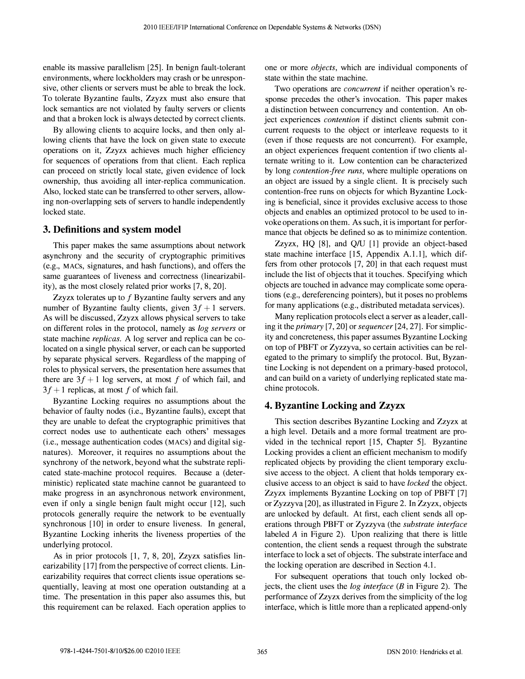enable its massive parallelism [25]. In benign fault-tolerant environments, where lockholders may crash or be unresponsive, other clients or servers must be able to break the lock. To tolerate Byzantine faults, Zzyzx must also ensure that lock semantics are not violated by faulty servers or clients and that a broken lock is always detected by correct clients.

By allowing clients to acquire locks, and then only allowing clients that have the lock on given state to execute operations on it, Zzyzx achieves much higher efficiency for sequences of operations from that client. Each replica can proceed on strictly local state, given evidence of lock ownership, thus avoiding all inter-replica communication. Also, locked state can be transferred to other servers, allowing non-overlapping sets of servers to handle independently locked state.

## 3. Definitions and system model

This paper makes the same assumptions about network asynchrony and the security of cryptographic primitives (e.g., MACs, signatures, and hash functions), and offers the same guarantees of liveness and correctness (linearizability), as the most closely related prior works [7, 8, 20].

Zzyzx tolerates up to  $f$  Byzantine faulty servers and any number of Byzantine faulty clients, given  $3f + 1$  servers. As will be discussed, Zzyzx allows physical servers to take on different roles in the protocol, namely as log servers or state machine replicas. A log server and replica can be colocated on a single physical server, or each can be supported by separate physical servers. Regardless of the mapping of roles to physical servers, the presentation here assumes that there are  $3f + 1$  log servers, at most f of which fail, and  $3f + 1$  replicas, at most f of which fail.

Byzantine Locking requires no assumptions about the behavior of faulty nodes (i.e., Byzantine faults), except that they are unable to defeat the cryptographic primitives that correct nodes use to authenticate each others' messages (i.e., message authentication codes (MACS) and digital signatures). Moreover, it requires no assumptions about the synchrony of the network, beyond what the substrate replicated state-machine protocol requires. Because a (deterministic) replicated state machine cannot be guaranteed to make progress in an asynchronous network environment, even if only a single benign fault might occur [12], such protocols generally require the network to be eventually synchronous [10] in order to ensure liveness. In general, Byzantine Locking inherits the liveness properties of the underlying protocol.

As in prior protocols [1, 7, 8, 20], Zzyzx satisfies linearizability [17] from the perspective of correct clients. Linearizability requires that correct clients issue operations sequentially, leaving at most one operation outstanding at a time. The presentation in this paper also assumes this, but this requirement can be relaxed. Each operation applies to one or more objects, which are individual components of state within the state machine.

Two operations are *concurrent* if neither operation's response precedes the other's invocation. This paper makes a distinction between concurrency and contention. An object experiences contention if distinct clients submit concurrent requests to the object or interleave requests to it (even if those requests are not concurrent). For example, an object experiences frequent contention if two clients alternate writing to it. Low contention can be characterized by long *contention-free runs*, where multiple operations on an object are issued by a single client. It is precisely such contention-free runs on objects for which Byzantine Locking is beneficial, since it provides exclusive access to those objects and enables an optimized protocol to be used to invoke operations on them. As such, it is important for performance that objects be defined so as to minimize contention.

Zzyzx, HQ [8], and Q/U [1] provide an object-based state machine interface [15, Appendix A.1.1], which differs from other protocols [7, 20] in that each request must include the list of objects that it touches. Specifying which objects are touched in advance may complicate some operations (e.g., dereferencing pointers), but it poses no problems for many applications (e.g., distributed metadata services).

Many replication protocols elect a server as a leader, calling it the primary [7, 20] or sequencer [24, 27]. For simplicity and concreteness, this paper assumes Byzantine Locking on top of PBFT or Zyzzyva, so certain activities can be relegated to the primary to simplify the protocol. But, Byzantine Locking is not dependent on a primary-based protocol, and can build on a variety of underlying replicated state machine protocols.

# 4. Byzantine Locking and Zzyzx

This section describes Byzantine Locking and Zzyzx at a high level. Details and a more formal treatment are provided in the technical report [15, Chapter 5]. Byzantine Locking provides a client an efficient mechanism to modify replicated objects by providing the client temporary exclusive access to the object. A client that holds temporary exclusive access to an object is said to have locked the object. Zzyzx implements Byzantine Locking on top of PBFT [7] or Zyzzyva [20], as illustrated in Figure 2. In Zzyzx, objects are unlocked by default. At first, each client sends all operations through PBFT or Zyzzyva (the substrate interface labeled A in Figure 2). Upon realizing that there is little contention, the client sends a request through the substrate interface to lock a set of objects. The substrate interface and the locking operation are described in Section 4.1.

For subsequent operations that touch only locked objects, the client uses the *log interface* ( $B$  in Figure 2). The performance of Zzyzx derives from the simplicity of the log interface, which is little more than a replicated append-only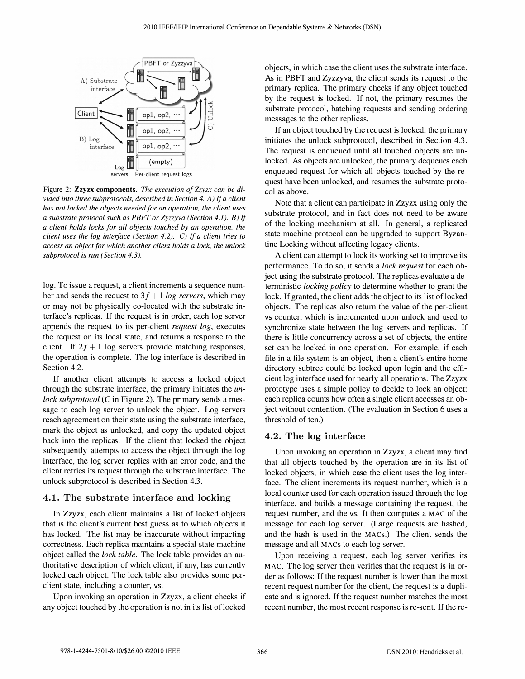

Figure 2: Zzyzx components. The execution of Zzyzx can be divided into three subprotocols, described in Section 4. A) If a client has not locked the objects needed for an operation, the client uses a substrate protocol such as PBFT or Zyzzyva (Section 4.1). B) If a client holds locks for all objects touched by an operation, the client uses the log interface (Section 4.2). C) If a client tries to access an object for which another client holds a lock, the unlock subprotocol is run (Section 4.3).

log. To issue a request, a client increments a sequence number and sends the request to  $3f + 1 \log$  servers, which may or may not be physically co-located with the substrate interface's replicas. If the request is in order, each log server appends the request to its per-client request log, executes the request on its local state, and returns a response to the client. If  $2f + 1$  log servers provide matching responses, the operation is complete. The log interface is described in Section 4.2.

If another client attempts to access a locked object through the substrate interface, the primary initiates the unlock subprotocol  $(C$  in Figure 2). The primary sends a message to each log server to unlock the object. Log servers reach agreement on their state using the substrate interface, mark the object as unlocked, and copy the updated object back into the replicas. If the client that locked the object subsequently attempts to access the object through the log interface, the log server replies with an error code, and the client retries its request through the substrate interface. The unlock subprotocol is described in Section 4.3.

#### 4.1. The substrate interface and locking

In Zzyzx, each client maintains a list of locked objects that is the client's current best guess as to which objects it has locked. The list may be inaccurate without impacting correctness. Each replica maintains a special state machine object called the lock table. The lock table provides an authoritative description of which client, if any, has currently locked each object. The lock table also provides some perclient state, including a counter, vs.

Upon invoking an operation in Zzyzx, a client checks if any object touched by the operation is not in its list of locked objects, in which case the client uses the substrate interface. As in PBFT and Zyzzyva, the client sends its request to the primary replica. The primary checks if any object touched by the request is locked. If not, the primary resumes the substrate protocol, batching requests and sending ordering messages to the other replicas.

If an object touched by the request is locked, the primary initiates the unlock subprotocol, described in Section 4.3. The request is enqueued until all touched objects are unlocked. As objects are unlocked, the primary dequeues each enqueued request for which all objects touched by the request have been unlocked, and resumes the substrate protocol as above.

Note that a client can participate in Zzyzx using only the substrate protocol, and in fact does not need to be aware of the locking mechanism at all. In general, a replicated state machine protocol can be upgraded to support Byzantine Locking without affecting legacy clients.

A client can attempt to lock its working set to improve its performance. To do so, it sends a lock request for each object using the substrate protocol. The replicas evaluate a deterministic locking policy to determine whether to grant the lock. If granted, the client adds the object to its list of locked objects. The replicas also return the value of the per-client vs counter, which is incremented upon unlock and used to synchronize state between the log servers and replicas. If there is little concurrency across a set of objects, the entire set can be locked in one operation. For example, if each file in a file system is an object, then a client's entire home directory subtree could be locked upon login and the efficient log interface used for nearly all operations. The Zzyzx prototype uses a simple policy to decide to lock an object: each replica counts how often a single client accesses an object without contention. (The evaluation in Section 6 uses a threshold of ten.)

#### 4.2. The log interface

Upon invoking an operation in Zzyzx, a client may find that all objects touched by the operation are in its list of locked objects, in which case the client uses the log interface. The client increments its request number, which is a local counter used for each operation issued through the log interface, and builds a message containing the request, the request number, and the VS. It then computes a MAC of the message for each log server. (Large requests are hashed, and the hash is used in the MACS.) The client sends the message and all MACs to each log server.

Upon receiving a request, each log server verifies its MAC. The log server then verifies that the request is in order as follows: If the request number is lower than the most recent request number for the client, the request is a duplicate and is ignored. If the request number matches the most recent number, the most recent response is re-sent. If the re-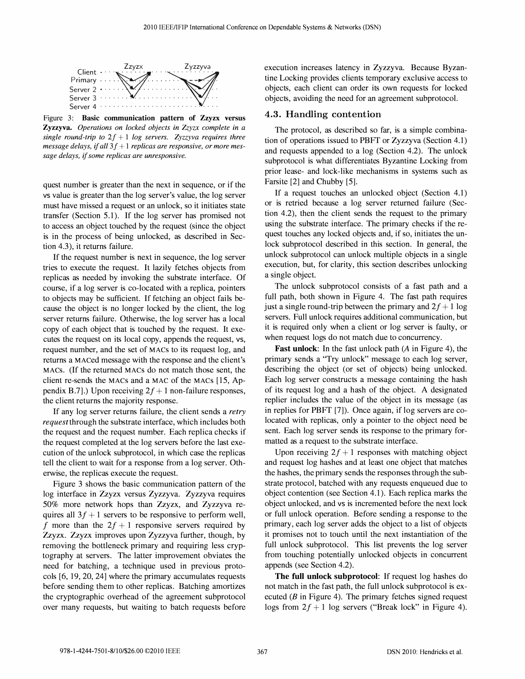

..<br>27<br>27 Figure 3: Basic communication pattern of Zzyzx versus single round-trip to  $2f + 1$  log servers. Zyzzyva requires three message delays, if all  $3f + 1$  replicas are responsive, or more message delays, if some replicas are unresponsive.

quest number is greater than the next in sequence, or if the vs value is greater than the log server's value, the log server must have missed a request or an unlock, so it initiates state transfer (Section 5.1). If the log server has promised not to access an object touched by the request (since the object is in the process of being unlocked, as described in Section 4.3), it returns failure.

If the request number is next in sequence, the log server tries to execute the request. It lazily fetches objects from replicas as needed by invoking the substrate interface. Of course, if a log server is co-located with a replica, pointers to objects may be sufficient. If fetching an object fails because the object is no longer locked by the client, the log server returns failure. Otherwise, the log server has a local copy of each object that is touched by the request. It executes the request on its local copy, appends the request, vs, request number, and the set of MACs to its request log, and returns a MACed message with the response and the client's MACs. (If the returned MACs do not match those sent, the client re-sends the MACs and a MAC of the MACs [15, Appendix B.7].) Upon receiving  $2f + 1$  non-failure responses, the client returns the majority response.

If any log server returns failure, the client sends a retry request through the substrate interface, which includes both the request and the request number. Each replica checks if the request completed at the log servers before the last execution of the unlock subprotocol, in which case the replicas tell the client to wait for a response from a log server. Otherwise, the replicas execute the request.

Figure 3 shows the basic communication pattern of the log interface in Zzyzx versus Zyzzyva. Zyzzyva requires 50% more network hops than Zzyzx, and Zyzzyva requires all  $3f + 1$  servers to be responsive to perform well, f more than the  $2f + 1$  responsive servers required by Zzyzx. Zzyzx improves upon Zyzzyva further, though, by removing the bottleneck primary and requiring less cryptography at servers. The latter improvement obviates the need for batching, a technique used in previous protocols [6, 19, 20, 24] where the primary accumulates requests before sending them to other replicas. Batching amortizes the cryptographic overhead of the agreement subprotocol over many requests, but waiting to batch requests before execution increases latency in Zyzzyva. Because Byzantine Locking provides clients temporary exclusive access to objects, each client can order its own requests for locked objects, avoiding the need for an agreement subprotocol.

#### 4.3. Handling contention

The protocol, as described so far, is a simple combination of operations issued to PBFT or Zyzzyva (Section 4.1) and requests appended to a log (Section 4.2). The unlock subprotocol is what differentiates Byzantine Locking from prior lease- and lock-like mechanisms in systems such as Farsite [2] and Chubby [5].

If a request touches an unlocked object (Section 4.1) or is retried because a log server returned failure (Section 4.2), then the client sends the request to the primary using the substrate interface. The primary checks if the request touches any locked objects and, if so, initiates the unlock subprotocol described in this section. In general, the unlock subprotocol can unlock multiple objects in a single execution, but, for clarity, this section describes unlocking a single object.

The unlock subprotocol consists of a fast path and a full path, both shown in Figure 4. The fast path requires just a single round-trip between the primary and  $2f + 1$  log servers. Full unlock requires additional communication, but it is required only when a client or log server is faulty, or when request logs do not match due to concurrency.

Fast unlock: In the fast unlock path (A in Figure 4), the primary sends a "Try unlock" message to each log server, describing the object (or set of objects) being unlocked. Each log server constructs a message containing the hash of its request log and a hash of the object. A designated replier includes the value of the object in its message (as in replies for PBFT [7]). Once again, if log servers are colocated with replicas, only a pointer to the object need be sent. Each log server sends its response to the primary formatted as a request to the substrate interface.

Upon receiving  $2f + 1$  responses with matching object and request log hashes and at least one object that matches the hashes, the primary sends the responses through the substrate protocol, batched with any requests enqueued due to object contention (see Section 4.1). Each replica marks the object unlocked, and vs is incremented before the next lock or full unlock operation. Before sending a response to the primary, each log server adds the object to a list of objects it promises not to touch until the next instantiation of the full unlock subprotocol. This list prevents the log server from touching potentially unlocked objects in concurrent appends (see Section 4.2).

The full unlock subprotocol: If request log hashes do not match in the fast path, the full unlock subprotocol is executed  $(B \text{ in Figure 4})$ . The primary fetches signed request logs from  $2f + 1$  log servers ("Break lock" in Figure 4).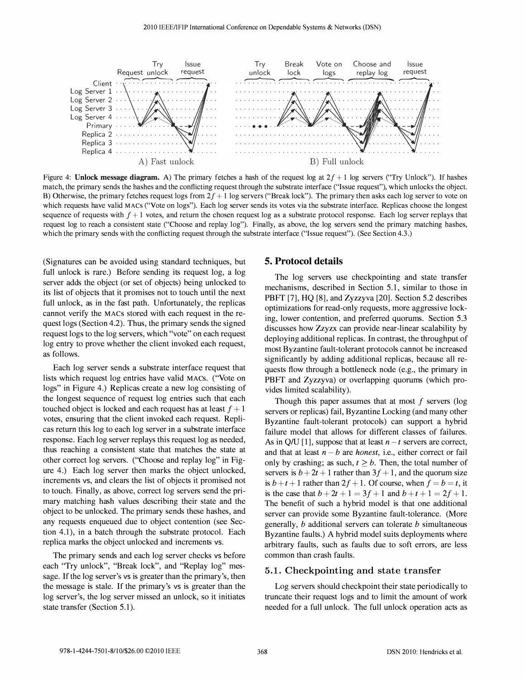

Figure 4: Unlock message diagram. A) The primary fetches a hash of the request log at  $2f + 1$  log servers ("Try Unlock"). If hashes match, the primary sends the hashes and the conflicting request through the substrate interface ("Issue request"), which unlocks the object. B) Otherwise, the primary fetches request logs from  $2f + 1$  log servers ("Break lock"). The primary then asks each log server to vote on which requests have valid MACS ("Vote on logs"). Each log server sends its votes via the substrate interface. Replicas choose the longest sequence of requests with  $f + 1$  votes, and return the chosen request log as a substrate protocol response. Each log server replays that request log to reach a consistent state ("Choose and replay log"). Finally, as above, the log servers send the primary matching hashes, which the primary sends with the conflicting request through the substrate interface ("Issue request"). (See Section 4.3.)

(Signatures can be avoided using standard techniques, but full unlock is rare.) Before sending its request log, a log server adds the object (or set of objects) being unlocked to its list of objects that it promises not to touch until the next full unlock, as in the fast path. Unfortunately, the replicas cannot verify the MACs stored with each request in the request logs (Section 4.2). Thus, the primary sends the signed request logs to the log servers, which "vote" on each request log entry to prove whether the client invoked each request, as follows.

Each log server sends a substrate interface request that lists which request log entries have valid MACs. ("Vote on logs" in Figure 4.) Replicas create a new log consisting of the longest sequence of request log entries such that each touched object is locked and each request has at least  $f + 1$ votes, ensuring that the client invoked each request. Replicas return this log to each log server in a substrate interface response. Each log server replays this request log as needed, thus reaching a consistent state that matches the state at other correct log servers. ("Choose and replay log" in Figure 4.) Each log server then marks the object unlocked, increments VS, and clears the list of objects it promised not to touch. Finally, as above, correct log servers send the primary matching hash values describing their state and the object to be unlocked. The primary sends these hashes, and any requests enqueued due to object contention (see Section 4.1), in a batch through the substrate protocol. Each replica marks the object unlocked and increments VS.

The primary sends and each log server checks vs before each "Try unlock", "Break lock", and "Replay log" message. If the log server's vs is greater than the primary's, then the message is stale. If the primary's vs is greater than the log server's, the log server missed an unlock, so it initiates state transfer (Section 5.1).

#### 5. Protocol details

The log servers use checkpointing and state transfer mechanisms, described in Section 5.1, similar to those in PBFT [7], HQ [8], and Zyzzyva [20]. Section 5.2 describes optimizations for read-only requests, more aggressive locking, lower contention, and preferred quorums. Section 5.3 discusses how Zzyzx can provide near-linear scalability by deploying additional replicas. In contrast, the throughput of most Byzantine fault-tolerant protocols cannot be increased significantly by adding additional replicas, because all requests flow through a bottleneck node (e.g., the primary in PBFT and Zyzzyva) or overlapping quorums (which provides limited scalability).

Though this paper assumes that at most  $f$  servers (log servers or replicas) fail, Byzantine Locking (and many other Byzantine fault-tolerant protocols) can support a hybrid failure model that allows for different classes of failures. As in Q/U [1], suppose that at least  $n - t$  servers are correct, and that at least  $n - b$  are *honest*, i.e., either correct or fail only by crashing; as such,  $t \geq b$ . Then, the total number of servers is  $b + 2t + 1$  rather than  $3f + 1$ , and the quorum size is  $b + t + 1$  rather than  $2f + 1$ . Of course, when  $f = b = t$ , it is the case that  $b + 2t + 1 = 3f + 1$  and  $b + t + 1 = 2f + 1$ . The benefit of such a hybrid model is that one additional server can provide some Byzantine fault-tolerance. (More generally,  $b$  additional servers can tolerate  $b$  simultaneous Byzantine faults.) A hybrid model suits deployments where arbitrary faults, such as faults due to soft errors, are less common than crash faults.

# 5.1. Checkpointing and state transfer

Log servers should checkpoint their state periodically to truncate their request logs and to limit the amount of work needed for a full unlock. The full unlock operation acts as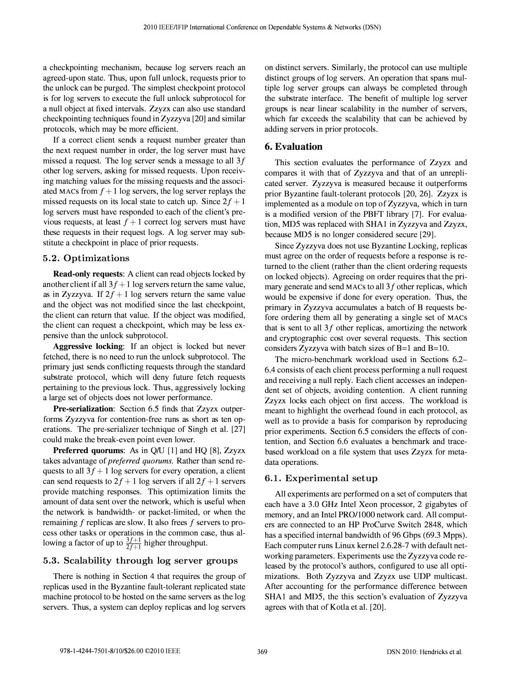a checkpointing mechanism, because log servers reach an agreed-upon state. Thus, upon full unlock, requests prior to the unlock can be purged. The simplest checkpoint protocol is for log servers to execute the full unlock subprotocol for a null object at fixed intervals. Zzyzx can also use standard checkpointing techniques found in Zyzzyva [20] and similar protocols, which may be more efficient.

If a correct client sends a request number greater than the next request number in order, the log server must have missed a request. The log server sends a message to all 3f other log servers, asking for missed requests. Upon receiving matching values for the missing requests and the associated MACs from  $f + 1$  log servers, the log server replays the missed requests on its local state to catch up. Since  $2f + 1$ log servers must have responded to each of the client's previous requests, at least  $f + 1$  correct log servers must have these requests in their request logs. A log server may substitute a checkpoint in place of prior requests.

# 5.2. Optimizations

Read-only requests: A client can read objects locked by another client if all  $3f + 1$  log servers return the same value, as in Zyzzyva. If  $2f + 1$  log servers return the same value and the object was not modified since the last checkpoint, the client can return that value. If the object was modified, the client can request a checkpoint, which may be less expensive than the unlock subprotocol.

Aggressive locking: If an object is locked but never fetched, there is no need to run the unlock subprotocol. The primary just sends conflicting requests through the standard substrate protocol, which will deny future fetch requests pertaining to the previous lock. Thus, aggressively locking a large set of objects does not lower performance.

Pre-serialization: Section 6.5 finds that Zzyzx outperforms Zyzzyva for contention-free runs as short as ten operations. The pre-serializer technique of Singh et al. [27] could make the break-even point even lower.

**Preferred quorums:** As in  $Q/U$  [1] and  $HQ$  [8],  $Zzyzx$ takes advantage of preferred quorums. Rather than send requests to all  $3f + 1$  log servers for every operation, a client can send requests to  $2f + 1$  log servers if all  $2f + 1$  servers provide matching responses. This optimization limits the amount of data sent over the network, which is useful when the network is bandwidth- or packet-limited, or when the remaining f replicas are slow. It also frees f servers to process other tasks or operations in the common case, thus allowing a factor of up to  $\frac{3f+1}{2f+1}$  higher throughput.

# 5.3. Scalability through log server groups

There is nothing in Section 4 that requires the group of replicas used in the Byzantine fault-tolerant replicated state machine protocol to be hosted on the same servers as the log servers. Thus, a system can deploy replicas and log servers

on distinct servers. Similarly, the protocol can use multiple distinct groups of log servers. An operation that spans multiple log server groups can always be completed through the substrate interface. The benefit of multiple log server groups is near linear scalability in the number of servers, which far exceeds the scalability that can be achieved by adding servers in prior protocols.

### 6. Evaluation

This section evaluates the performance of Zzyzx and compares it with that of Zyzzyva and that of an unreplicated server. Zyzzyva is measured because it outperforms prior Byzantine fault-tolerant protocols [20, 26]. Zzyzx is implemented as a module on top of Zyzzyva, which in turn is a modified version of the PBFT library [7]. For evaluation, MDS was replaced with SHAI in Zyzzyva and Zzyzx, because MDS is no longer considered secure [29].

Since Zyzzyva does not use Byzantine Locking, replicas must agree on the order of requests before a response is returned to the client (rather than the client ordering requests on locked objects). Agreeing on order requires that the primary generate and send MACs to all  $3f$  other replicas, which would be expensive if done for every operation. Thus, the primary in Zyzzyva accumulates a batch of B requests before ordering them all by generating a single set of MACs that is sent to all  $3f$  other replicas, amortizing the network and cryptographic cost over several requests. This section considers Zyzzyva with batch sizes of B=l and B=IO.

The micro-benchmark workload used in Sections 6.2- 6.4 consists of each client process performing a null request and receiving a null reply. Each client accesses an independent set of objects, avoiding contention. A client running Zzyzx locks each object on first access. The workload is meant to highlight the overhead found in each protocol, as well as to provide a basis for comparison by reproducing prior experiments. Section 6.S considers the effects of contention, and Section 6.6 evaluates a benchmark and tracebased workload on a file system that uses Zzyzx for metadata operations.

## 6.1. Experimental setup

All experiments are performed on a set of computers that each have a 3.0 GHz Intel Xeon processor, 2 gigabytes of memory, and an Intel PRO/1000 network card. All computers are connected to an HP ProCurve Switch 2848, which has a specified internal bandwidth of 96 Gbps (69.3 Mpps). Each computer runs Linux kernel 2.6.28-7 with default networking parameters. Experiments use the Zyzzyva code released by the protocol's authors, configured to use all optimizations. Both Zyzzyva and Zzyzx use UDP multicast. After accounting for the performance difference between SHAI and MDS, the this section's evaluation of Zyzzyva agrees with that of Kotla et al. [20].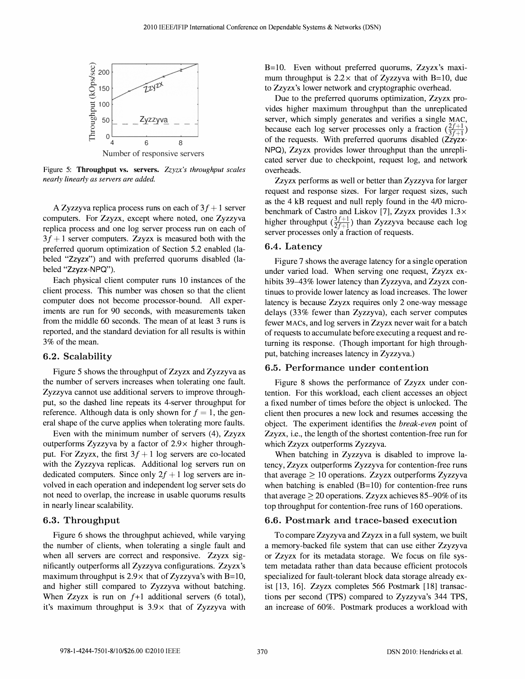

Figure 5: Throughput vs. servers. Zzyzx's throughput scales nearly linearly as servers are added.

A Zyzzyva replica process runs on each of  $3f + 1$  server computers. For Zzyzx, except where noted, one Zyzzyva replica process and one log server process run on each of  $3f + 1$  server computers. Zzyzx is measured both with the preferred quorum optimization of Section 5.2 enabled (labeled "Zzyzx") and with preferred quorums disabled (labeled "Zzyzx-NPQ").

Each physical client computer runs 10 instances of the client process. This number was chosen so that the client computer does not become processor-bound. All experiments are run for 90 seconds, with measurements taken from the middle 60 seconds. The mean of at least 3 runs is reported, and the standard deviation for all results is within 3% of the mean.

#### 6.2. Scalability

Figure 5 shows the throughput of Zzyzx and Zyzzyva as the number of servers increases when tolerating one fault. Zyzzyva cannot use additional servers to improve throughput, so the dashed line repeats its 4-server throughput for reference. Although data is only shown for  $f = 1$ , the general shape of the curve applies when tolerating more faults.

Even with the minimum number of servers (4), Zzyzx outperforms Zyzzyva by a factor of  $2.9 \times$  higher throughput. For Zzyzx, the first  $3f + 1$  log servers are co-located with the Zyzzyva replicas. Additional log servers run on dedicated computers. Since only  $2f + 1$  log servers are involved in each operation and independent log server sets do not need to overlap, the increase in usable quorums results in nearly linear scalability.

#### 6.3. Throughput

Figure 6 shows the throughput achieved, while varying the number of clients, when tolerating a single fault and when all servers are correct and responsive. Zzyzx significantly outperforms all Zyzzyva configurations. Zzyzx's maximum throughput is  $2.9 \times$  that of Zyzzyva's with B=10, and higher still compared to Zyzzyva without batching. When Zzyzx is run on  $f+1$  additional servers (6 total), it's maximum throughput is  $3.9\times$  that of Zyzzyva with

B=lO. Even without preferred quorums, Zzyzx's maximum throughput is  $2.2 \times$  that of Zyzzyva with B=10, due to Zzyzx's lower network and cryptographic overhead.

Due to the preferred quorums optimization, Zzyzx provides higher maximum throughput than the unreplicated server, which simply generates and verifies a single MAC, because each log server processes only a fraction  $(\frac{2f+1}{3f+1})$ of the requests. With preferred quorums disabled (Zzyzx-NPQ), Zzyzx provides lower throughput than the unreplicated server due to checkpoint, request log, and network overheads.

Zzyzx performs as well or better than Zyzzyva for larger request and response sizes. For larger request sizes, such as the 4 kB request and null reply found in the 4/0 microbenchmark of Castro and Liskov [7], Zzyzx provides  $1.3\times$ higher throughput  $(\frac{3f+1}{2f+1})$  than Zyzzyva because each log server processes only a fraction of requests.

#### 6.4. Latency

Figure 7 shows the average latency for a single operation under varied load. When serving one request, Zzyzx exhibits 39–43% lower latency than Zyzzyva, and Zzyzx continues to provide lower latency as load increases. The lower latency is because Zzyzx requires only 2 one-way message delays (33% fewer than Zyzzyva), each server computes fewer MACS, and log servers in Zzyzx never wait for a batch of requests to accumulate before executing a request and returning its response. (Though important for high throughput, batching increases latency in Zyzzyva.)

#### 6.5. Performance under contention

Figure 8 shows the performance of Zzyzx under contention. For this workload, each client accesses an object a fixed number of times before the object is unlocked. The client then procures a new lock and resumes accessing the object. The experiment identifies the break-even point of Zzyzx, i.e., the length of the shortest contention-free run for which Zzyzx outperforms Zyzzyva.

When batching in Zyzzyva is disabled to improve latency, Zzyzx outperforms Zyzzyva for contention-free runs that average  $\geq 10$  operations. Zzyzx outperforms Zyzzyva when batching is enabled  $(B=10)$  for contention-free runs that average  $\geq 20$  operations. Zzyzx achieves 85-90% of its top throughput for contention-free runs of 160 operations.

#### 6.6. Postmark and trace-based execution

To compare Zzyzyva and Zzyzx in a full system, we built a memory-backed file system that can use either Zzyzyva or Zzyzx for its metadata storage. We focus on file system metadata rather than data because efficient protocols specialized for fault-tolerant block data storage already exist [13, 16]. Zzyzx completes 566 Postmark [18] transactions per second (TPS) compared to Zyzzyva's 344 TPS, an increase of 60%. Postmark produces a workload with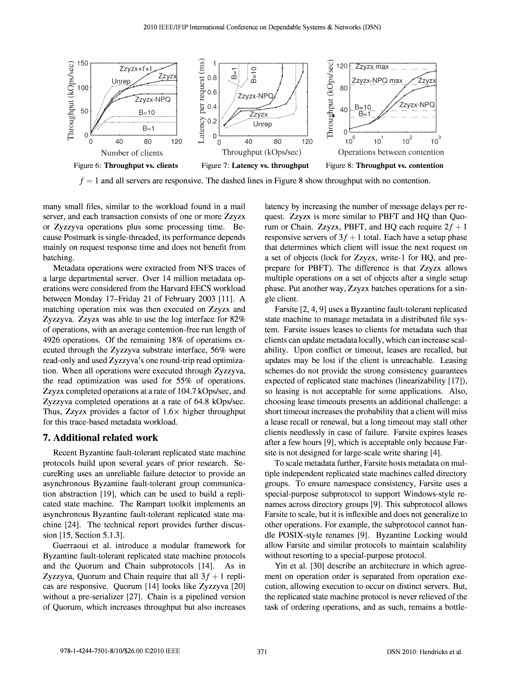

 $f = 1$  and all servers are responsive. The dashed lines in Figure 8 show throughput with no contention.

many small files, similar to the workload found in a mail server, and each transaction consists of one or more Zzyzx or Zyzzyva operations plus some processing time. Because Postmark is single-threaded, its performance depends mainly on request response time and does not benefit from batching.

Metadata operations were extracted from NFS traces of a large departmental server. Over 14 million metadata operations were considered from the Harvard EECS workload between Monday 17-Friday 21 of February 2003 [11]. A matching operation mix was then executed on Zzyzx and Zyzzyva. Zzyzx was able to use the log interface for 82% of operations, with an average contention-free run length of 4926 operations. Of the remaining 18% of operations executed through the Zyzzyva substrate interface, 56% were read-only and used Zyzzyva's one round-trip read optimization. When all operations were executed through Zyzzyva, the read optimization was used for 55% of operations. Zzyzx completed operations at a rate of 104.7 kOps/sec, and Zyzzyva completed operations at a rate of 64.8 kOps/sec. Thus, Zzyzx provides a factor of  $1.6\times$  higher throughput for this trace-based metadata workload.

## 7. Additional related work

Recent Byzantine fault-tolerant replicated state machine protocols build upon several years of prior research. SecureRing uses an unreliable failure detector to provide an asynchronous Byzantine fault-tolerant group communication abstraction [19], which can be used to build a replicated state machine. The Rampart toolkit implements an asynchronous Byzantine fault-tolerant replicated state machine [24]. The technical report provides further discussion [15, Section 5.1.3].

Guerraoui et al. introduce a modular framework for Byzantine fault-tolerant replicated state machine protocols and the Quorum and Chain subprotocols [14]. As in Zyzzyva, Quorum and Chain require that all  $3f + 1$  replicas are responsive. Quorum [14] looks like Zyzzyva [20] without a pre-serializer [27]. Chain is a pipelined version of Quorum, which increases throughput but also increases latency by increasing the number of message delays per request. Zzyzx is more similar to PBFT and HQ than Quorum or Chain. Zzyzx, PBFT, and HQ each require  $2f + 1$ responsive servers of  $3f + 1$  total. Each have a setup phase that determines which client will issue the next request on a set of objects (lock for Zzyzx, write-1 for HQ, and preprepare for PBFT). The difference is that Zzyzx allows multiple operations on a set of objects after a single setup phase. Put another way, Zzyzx batches operations for a single client.

Farsite [2, 4, 9] uses a Byzantine fault-tolerant replicated state machine to manage metadata in a distributed file system. Farsite issues leases to clients for metadata such that clients can update metadata locally, which can increase scalability. Upon conflict or timeout, leases are recalled, but updates may be lost if the client is unreachable. Leasing schemes do not provide the strong consistency guarantees expected of replicated state machines (linearizability [17]), so leasing is not acceptable for some applications. Also, choosing lease timeouts presents an additional challenge: a short timeout increases the probability that a client will miss a lease recall or renewal, but a long timeout may stall other clients needlessly in case of failure. Farsite expires leases after a few hours [9], which is acceptable only because Farsite is not designed for large-scale write sharing [4].

To scale metadata further, Farsite hosts metadata on multiple independent replicated state machines called directory groups. To ensure namespace consistency, Farsite uses a special-purpose subprotocol to support Windows-style renames across directory groups [9]. This subprotocol allows Farsite to scale, but it is inflexible and does not generalize to other operations. For example, the subprotocol cannot handle POSIX-style renames [9]. Byzantine Locking would allow Farsite and similar protocols to maintain scalability without resorting to a special-purpose protocol.

Yin et al. [30] describe an architecture in which agreement on operation order is separated from operation execution, allowing execution to occur on distinct servers. But, the replicated state machine protocol is never relieved of the task of ordering operations, and as such, remains a bottle-